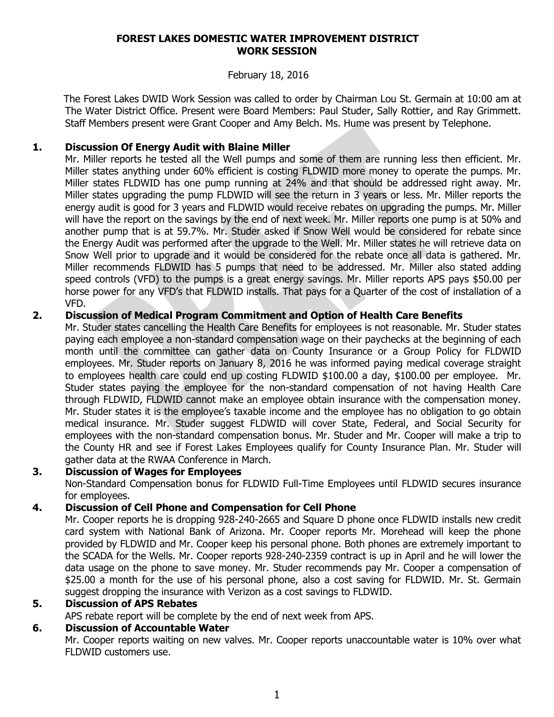#### **FOREST LAKES DOMESTIC WATER IMPROVEMENT DISTRICT WORK SESSION**

### February 18, 2016

 The Forest Lakes DWID Work Session was called to order by Chairman Lou St. Germain at 10:00 am at The Water District Office. Present were Board Members: Paul Studer, Sally Rottier, and Ray Grimmett. Staff Members present were Grant Cooper and Amy Belch. Ms. Hume was present by Telephone.

# **1. Discussion Of Energy Audit with Blaine Miller**

Mr. Miller reports he tested all the Well pumps and some of them are running less then efficient. Mr. Miller states anything under 60% efficient is costing FLDWID more money to operate the pumps. Mr. Miller states FLDWID has one pump running at 24% and that should be addressed right away. Mr. Miller states upgrading the pump FLDWID will see the return in 3 years or less. Mr. Miller reports the energy audit is good for 3 years and FLDWID would receive rebates on upgrading the pumps. Mr. Miller will have the report on the savings by the end of next week. Mr. Miller reports one pump is at 50% and another pump that is at 59.7%. Mr. Studer asked if Snow Well would be considered for rebate since the Energy Audit was performed after the upgrade to the Well. Mr. Miller states he will retrieve data on Snow Well prior to upgrade and it would be considered for the rebate once all data is gathered. Mr. Miller recommends FLDWID has 5 pumps that need to be addressed. Mr. Miller also stated adding speed controls (VFD) to the pumps is a great energy savings. Mr. Miller reports APS pays \$50.00 per horse power for any VFD's that FLDWID installs. That pays for a Quarter of the cost of installation of a VFD.

### **2. Discussion of Medical Program Commitment and Option of Health Care Benefits**

Mr. Studer states cancelling the Health Care Benefits for employees is not reasonable. Mr. Studer states paying each employee a non-standard compensation wage on their paychecks at the beginning of each month until the committee can gather data on County Insurance or a Group Policy for FLDWID employees. Mr. Studer reports on January 8, 2016 he was informed paying medical coverage straight to employees health care could end up costing FLDWID \$100.00 a day, \$100.00 per employee. Mr. Studer states paying the employee for the non-standard compensation of not having Health Care through FLDWID, FLDWID cannot make an employee obtain insurance with the compensation money. Mr. Studer states it is the employee's taxable income and the employee has no obligation to go obtain medical insurance. Mr. Studer suggest FLDWID will cover State, Federal, and Social Security for employees with the non-standard compensation bonus. Mr. Studer and Mr. Cooper will make a trip to the County HR and see if Forest Lakes Employees qualify for County Insurance Plan. Mr. Studer will gather data at the RWAA Conference in March.

#### **3. Discussion of Wages for Employees**

Non-Standard Compensation bonus for FLDWID Full-Time Employees until FLDWID secures insurance for employees.

# **4. Discussion of Cell Phone and Compensation for Cell Phone**

Mr. Cooper reports he is dropping 928-240-2665 and Square D phone once FLDWID installs new credit card system with National Bank of Arizona. Mr. Cooper reports Mr. Morehead will keep the phone provided by FLDWID and Mr. Cooper keep his personal phone. Both phones are extremely important to the SCADA for the Wells. Mr. Cooper reports 928-240-2359 contract is up in April and he will lower the data usage on the phone to save money. Mr. Studer recommends pay Mr. Cooper a compensation of \$25.00 a month for the use of his personal phone, also a cost saving for FLDWID. Mr. St. Germain suggest dropping the insurance with Verizon as a cost savings to FLDWID.

### **5. Discussion of APS Rebates**

APS rebate report will be complete by the end of next week from APS.

### **6. Discussion of Accountable Water**

Mr. Cooper reports waiting on new valves. Mr. Cooper reports unaccountable water is 10% over what FLDWID customers use.